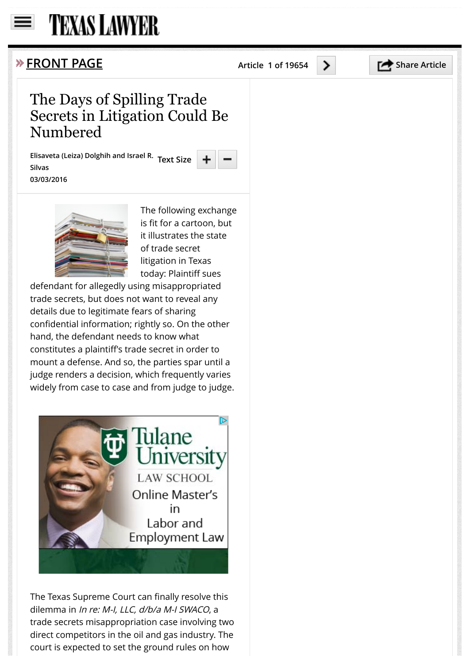## **TEXAS LAWYER**

## **FRONT PAGE** Article 1 of 19654 **Share Article**

## The Days of Spilling Trade Secrets in Litigation Could Be Numbered

**Elisaveta (Leiza) Dolghih and Israel R. Text SizeSilvas 03/03/2016**



The following exchange is fit for a cartoon, but it illustrates the state of trade secret litigation in Texas today: Plaintiff sues

defendant for allegedly using misappropriated trade secrets, but does not want to reveal any details due to legitimate fears of sharing confidential information; rightly so. On the other hand, the defendant needs to know what constitutes a plaintiff's trade secret in order to mount a defense. And so, the parties spar until a judge renders a decision, which frequently varies widely from case to case and from judge to judge.



The Texas Supreme Court can finally resolve this dilemma in In re: M-I, LLC, d/b/a M-I SWACO, a trade secrets misappropriation case involving two direct competitors in the oil and gas industry. The court is expected to set the ground rules on how

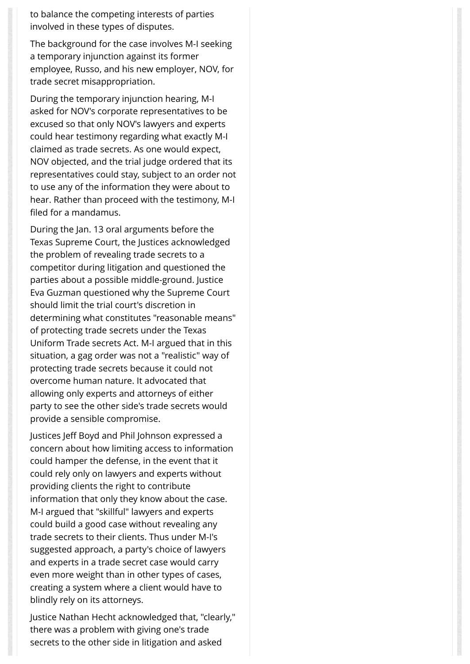to balance the competing interests of parties involved in these types of disputes.

The background for the case involves M-I seeking a temporary injunction against its former employee, Russo, and his new employer, NOV, for trade secret misappropriation.

During the temporary injunction hearing, M-I asked for NOV's corporate representatives to be excused so that only NOV's lawyers and experts could hear testimony regarding what exactly M-I claimed as trade secrets. As one would expect, NOV objected, and the trial judge ordered that its representatives could stay, subject to an order not to use any of the information they were about to hear. Rather than proceed with the testimony, M-I filed for a mandamus.

During the Jan. 13 oral arguments before the Texas Supreme Court, the Justices acknowledged the problem of revealing trade secrets to a competitor during litigation and questioned the parties about a possible middle-ground. Justice Eva Guzman questioned why the Supreme Court should limit the trial court's discretion in determining what constitutes "reasonable means" of protecting trade secrets under the Texas Uniform Trade secrets Act. M-I argued that in this situation, a gag order was not a "realistic" way of protecting trade secrets because it could not overcome human nature. It advocated that allowing only experts and attorneys of either party to see the other side's trade secrets would provide a sensible compromise.

Justices Jeff Boyd and Phil Johnson expressed a concern about how limiting access to information could hamper the defense, in the event that it could rely only on lawyers and experts without providing clients the right to contribute information that only they know about the case. M-I argued that "skillful" lawyers and experts could build a good case without revealing any trade secrets to their clients. Thus under M-I's suggested approach, a party's choice of lawyers and experts in a trade secret case would carry even more weight than in other types of cases, creating a system where a client would have to blindly rely on its attorneys.

Justice Nathan Hecht acknowledged that, "clearly," there was a problem with giving one's trade secrets to the other side in litigation and asked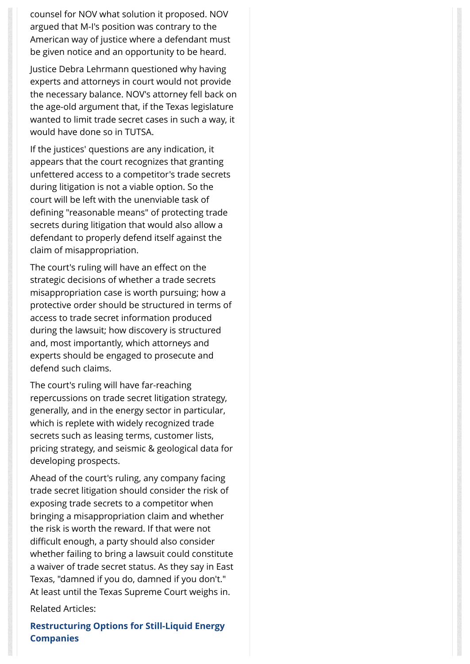counsel for NOV what solution it proposed. NOV argued that M-I's position was contrary to the American way of justice where a defendant must be given notice and an opportunity to be heard.

Justice Debra Lehrmann questioned why having experts and attorneys in court would not provide the necessary balance. NOV's attorney fell back on the age-old argument that, if the Texas legislature wanted to limit trade secret cases in such a way, it would have done so in TUTSA.

If the justices' questions are any indication, it appears that the court recognizes that granting unfettered access to a competitor's trade secrets during litigation is not a viable option. So the court will be left with the unenviable task of defining "reasonable means" of protecting trade secrets during litigation that would also allow a defendant to properly defend itself against the claim of misappropriation.

The court's ruling will have an effect on the strategic decisions of whether a trade secrets misappropriation case is worth pursuing; how a protective order should be structured in terms of access to trade secret information produced during the lawsuit; how discovery is structured and, most importantly, which attorneys and experts should be engaged to prosecute and defend such claims.

The court's ruling will have far-reaching repercussions on trade secret litigation strategy, generally, and in the energy sector in particular, which is replete with widely recognized trade secrets such as leasing terms, customer lists, pricing strategy, and seismic & geological data for developing prospects.

Ahead of the court's ruling, any company facing trade secret litigation should consider the risk of exposing trade secrets to a competitor when bringing a misappropriation claim and whether the risk is worth the reward. If that were not difficult enough, a party should also consider whether failing to bring a lawsuit could constitute a waiver of trade secret status. As they say in East Texas, "damned if you do, damned if you don't." At least until the Texas Supreme Court weighs in.

Related Articles:

**Restructuring Options for Still-Liquid Energy Companies**